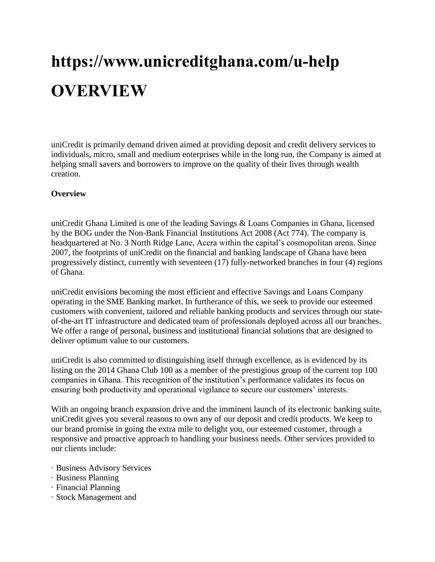# **https://www.unicreditghana.com/u-help OVERVIEW**

uniCredit is primarily demand driven aimed at providing deposit and credit delivery services to individuals, micro, small and medium enterprises while in the long run, the Company is aimed at helping small savers and borrowers to improve on the quality of their lives through wealth creation.

#### **Overview**

uniCredit Ghana Limited is one of the leading Savings & Loans Companies in Ghana, licensed by the BOG under the Non-Bank Financial Institutions Act 2008 (Act 774). The company is headquartered at No. 3 North Ridge Lane, Accra within the capital's cosmopolitan arena. Since 2007, the footprints of uniCredit on the financial and banking landscape of Ghana have been progressively distinct, currently with seventeen (17) fully-networked branches in four (4) regions of Ghana.

uniCredit envisions becoming the most efficient and effective Savings and Loans Company operating in the SME Banking market. In furtherance of this, we seek to provide our esteemed customers with convenient, tailored and reliable banking products and services through our stateof-the-art IT infrastructure and dedicated team of professionals deployed across all our branches. We offer a range of personal, business and institutional financial solutions that are designed to deliver optimum value to our customers.

uniCredit is also committed to distinguishing itself through excellence, as is evidenced by its listing on the 2014 Ghana Club 100 as a member of the prestigious group of the current top 100 companies in Ghana. This recognition of the institution's performance validates its focus on ensuring both productivity and operational vigilance to secure our customers' interests.

With an ongoing branch expansion drive and the imminent launch of its electronic banking suite, uniCredit gives you several reasons to own any of our deposit and credit products. We keep to our brand promise in going the extra mile to delight you, our esteemed customer, through a responsive and proactive approach to handling your business needs. Other services provided to our clients include:

- · Business Advisory Services
- · Business Planning
- · Financial Planning
- · Stock Management and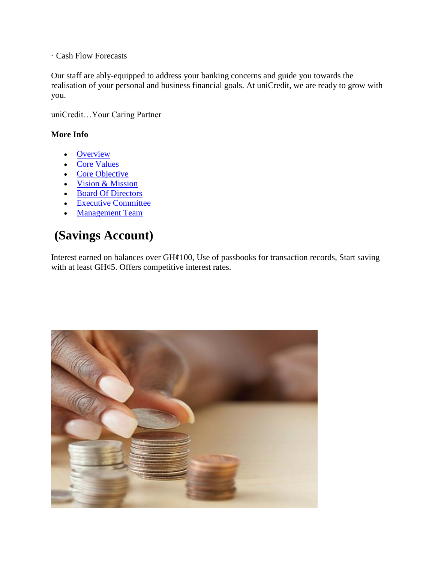· Cash Flow Forecasts

Our staff are ably-equipped to address your banking concerns and guide you towards the realisation of your personal and business financial goals. At uniCredit, we are ready to grow with you.

uniCredit…Your Caring Partner

#### **More Info**

- [Overview](https://www.unicreditghana.com/overview.php)
- [Core Values](https://www.unicreditghana.com/core_values.php)
- $\bullet$  [Core Objective](https://www.unicreditghana.com/objectives.php)
- [Vision & Mission](https://www.unicreditghana.com/vission.php)
- [Board Of Directors](https://www.unicreditghana.com/board.php)
- [Executive Committee](https://www.unicreditghana.com/exco.php)
- [Management Team](https://www.unicreditghana.com/management.php)

## **(Savings Account)**

Interest earned on balances over GH¢100, Use of passbooks for transaction records, Start saving with at least GH¢5. Offers competitive interest rates.

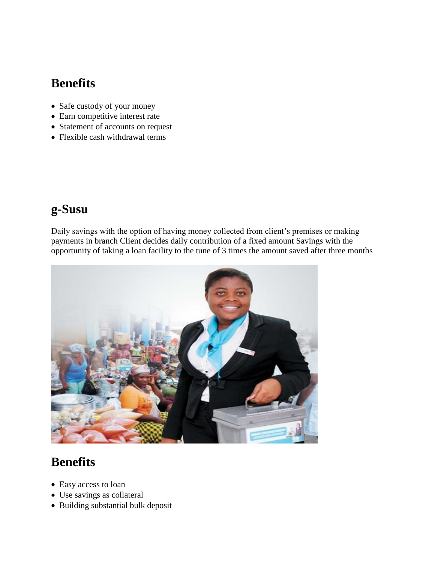### **Benefits**

- Safe custody of your money
- Earn competitive interest rate
- Statement of accounts on request
- Flexible cash withdrawal terms

# **g-Susu**

Daily savings with the option of having money collected from client's premises or making payments in branch Client decides daily contribution of a fixed amount Savings with the opportunity of taking a loan facility to the tune of 3 times the amount saved after three months



- Easy access to loan
- Use savings as collateral
- Building substantial bulk deposit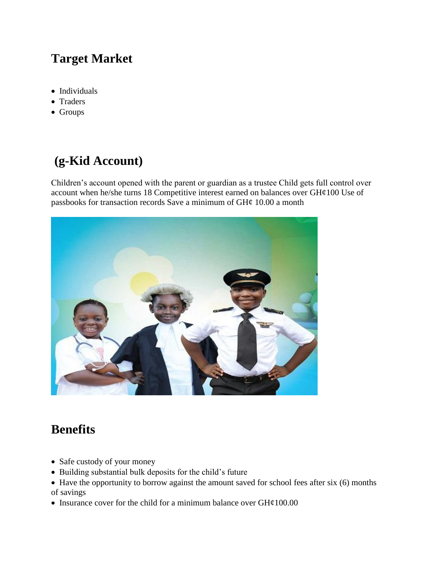# **Target Market**

- Individuals
- Traders
- Groups

# **(g-Kid Account)**

Children's account opened with the parent or guardian as a trustee Child gets full control over account when he/she turns 18 Competitive interest earned on balances over GH¢100 Use of passbooks for transaction records Save a minimum of  $GH\varphi$  10.00 a month



- Safe custody of your money
- Building substantial bulk deposits for the child's future
- Have the opportunity to borrow against the amount saved for school fees after six (6) months of savings
- Insurance cover for the child for a minimum balance over  $GH¢100.00$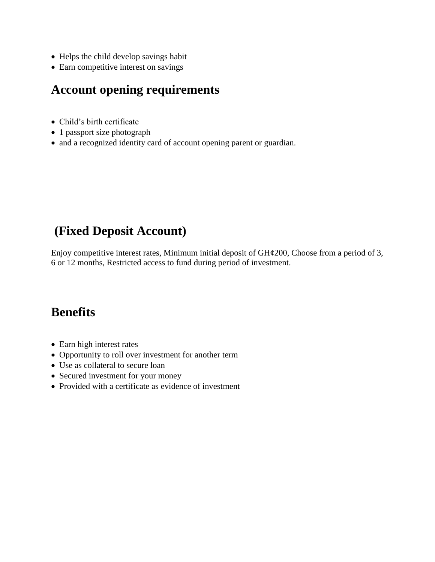- Helps the child develop savings habit
- Earn competitive interest on savings

#### **Account opening requirements**

- Child's birth certificate
- 1 passport size photograph
- and a recognized identity card of account opening parent or guardian.

### **(Fixed Deposit Account)**

Enjoy competitive interest rates, Minimum initial deposit of  $GH¢200$ , Choose from a period of 3, 6 or 12 months, Restricted access to fund during period of investment.

- Earn high interest rates
- Opportunity to roll over investment for another term
- Use as collateral to secure loan
- Secured investment for your money
- Provided with a certificate as evidence of investment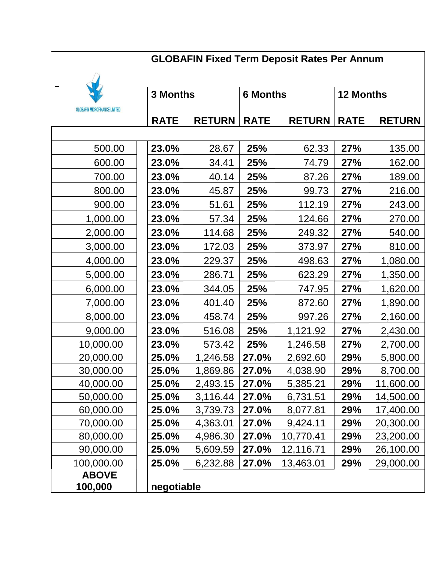# **GLOBAFIN Fixed Term Deposit Rates Per Annum**



| <b>3 Months</b>                      |             |               | <b>6 Months</b> |               | <b>12 Months</b> |               |
|--------------------------------------|-------------|---------------|-----------------|---------------|------------------|---------------|
| <b>GLOBAFIN MICROFINANCE LIMITED</b> |             |               |                 |               |                  |               |
|                                      | <b>RATE</b> | <b>RETURN</b> | <b>RATE</b>     | <b>RETURN</b> | <b>RATE</b>      | <b>RETURN</b> |
|                                      |             |               |                 |               |                  |               |
| 500.00                               | 23.0%       | 28.67         | 25%             | 62.33         | 27%              | 135.00        |
| 600.00                               | 23.0%       | 34.41         | 25%             | 74.79         | 27%              | 162.00        |
| 700.00                               | 23.0%       | 40.14         | 25%             | 87.26         | 27%              | 189.00        |
| 800.00                               | 23.0%       | 45.87         | 25%             | 99.73         | <b>27%</b>       | 216.00        |
| 900.00                               | 23.0%       | 51.61         | 25%             | 112.19        | 27%              | 243.00        |
| 1,000.00                             | 23.0%       | 57.34         | 25%             | 124.66        | <b>27%</b>       | 270.00        |
| 2,000.00                             | 23.0%       | 114.68        | 25%             | 249.32        | <b>27%</b>       | 540.00        |
| 3,000.00                             | 23.0%       | 172.03        | 25%             | 373.97        | 27%              | 810.00        |
| 4,000.00                             | 23.0%       | 229.37        | 25%             | 498.63        | 27%              | 1,080.00      |
| 5,000.00                             | 23.0%       | 286.71        | 25%             | 623.29        | <b>27%</b>       | 1,350.00      |
| 6,000.00                             | 23.0%       | 344.05        | 25%             | 747.95        | 27%              | 1,620.00      |
| 7,000.00                             | 23.0%       | 401.40        | 25%             | 872.60        | <b>27%</b>       | 1,890.00      |
| 8,000.00                             | 23.0%       | 458.74        | 25%             | 997.26        | 27%              | 2,160.00      |
| 9,000.00                             | 23.0%       | 516.08        | 25%             | 1,121.92      | 27%              | 2,430.00      |
| 10,000.00                            | 23.0%       | 573.42        | 25%             | 1,246.58      | <b>27%</b>       | 2,700.00      |
| 20,000.00                            | 25.0%       | 1,246.58      | 27.0%           | 2,692.60      | 29%              | 5,800.00      |
| 30,000.00                            | 25.0%       | 1,869.86      | 27.0%           | 4,038.90      | 29%              | 8,700.00      |
| 40,000.00                            | 25.0%       | 2,493.15      | 27.0%           | 5,385.21      | 29%              | 11,600.00     |
| 50,000.00                            | 25.0%       | 3,116.44      | 27.0%           | 6,731.51      | 29%              | 14,500.00     |
| 60,000.00                            | 25.0%       | 3,739.73      | 27.0%           | 8,077.81      | 29%              | 17,400.00     |
| 70,000.00                            | 25.0%       | 4,363.01      | 27.0%           | 9,424.11      | <b>29%</b>       | 20,300.00     |
| 80,000.00                            | 25.0%       | 4,986.30      | <b>27.0%</b>    | 10,770.41     | <b>29%</b>       | 23,200.00     |
| 90,000.00                            | 25.0%       | 5,609.59      | 27.0%           | 12,116.71     | <b>29%</b>       | 26,100.00     |
| 100,000.00                           | 25.0%       | 6,232.88      | 27.0%           | 13,463.01     | <b>29%</b>       | 29,000.00     |
| <b>ABOVE</b>                         |             |               |                 |               |                  |               |
| 100,000                              | negotiable  |               |                 |               |                  |               |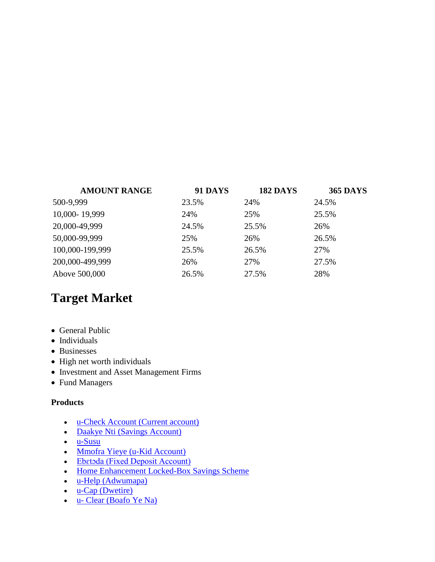| <b>AMOUNT RANGE</b> | <b>91 DAYS</b> | <b>182 DAYS</b> | <b>365 DAYS</b> |
|---------------------|----------------|-----------------|-----------------|
| 500-9,999           | 23.5%          | 24%             | 24.5%           |
| 10,000-19,999       | 24%            | 25%             | 25.5%           |
| 20,000-49,999       | 24.5%          | 25.5%           | 26%             |
| 50,000-99,999       | 25%            | 26%             | 26.5%           |
| 100,000-199,999     | 25.5%          | 26.5%           | 27%             |
| 200,000-499,999     | 26%            | 27%             | 27.5%           |
| Above 500,000       | 26.5%          | 27.5%           | 28%             |

#### **Target Market**

- General Public
- Individuals
- Businesses
- High net worth individuals
- Investment and Asset Management Firms
- Fund Managers

#### **Products**

- [u-Check Account \(Current account\)](https://www.unicreditghana.com/u-check.php)
- [Daakye Nti \(Savings Account\)](https://www.unicreditghana.com/savings.php)
- $\cdot$  [u-Susu](https://www.unicreditghana.com/u-susu.php)
- [Mmofra Yieye \(u-Kid Account\)](https://www.unicreditghana.com/u-kid.php)
- [Ebɛtɔda \(Fixed Deposit Account\)](https://www.unicreditghana.com/fd.php)
- [Home Enhancement Locked-Box Savings Scheme](https://www.unicreditghana.com/homebox.php)
- [u-Help \(Adwumapa\)](https://www.unicreditghana.com/u-help.php)
- $\cdot$  [u-Cap \(Dwetire\)](https://www.unicreditghana.com/u-cap.php)
- u- [Clear \(Boafo Ye Na\)](https://www.unicreditghana.com/u-clear.php)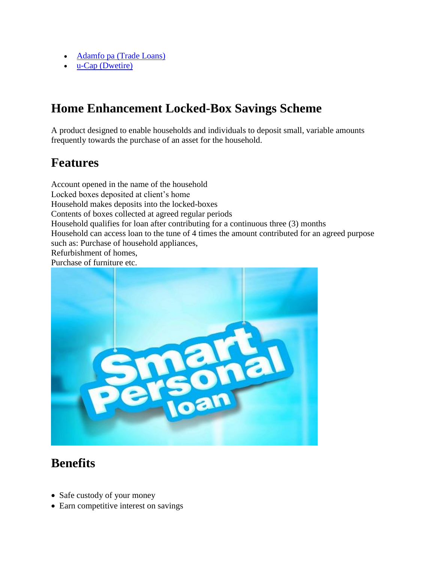- [Adamfo pa \(Trade Loans\)](https://www.unicreditghana.com/adamfopa.php)
- [u-Cap \(Dwetire\)](https://www.unicreditghana.com/u-cap.php)

## **Home Enhancement Locked-Box Savings Scheme**

A product designed to enable households and individuals to deposit small, variable amounts frequently towards the purchase of an asset for the household.

## **Features**

Account opened in the name of the household Locked boxes deposited at client's home Household makes deposits into the locked-boxes Contents of boxes collected at agreed regular periods Household qualifies for loan after contributing for a continuous three (3) months Household can access loan to the tune of 4 times the amount contributed for an agreed purpose such as: Purchase of household appliances, Refurbishment of homes, Purchase of furniture etc.



- Safe custody of your money
- Earn competitive interest on savings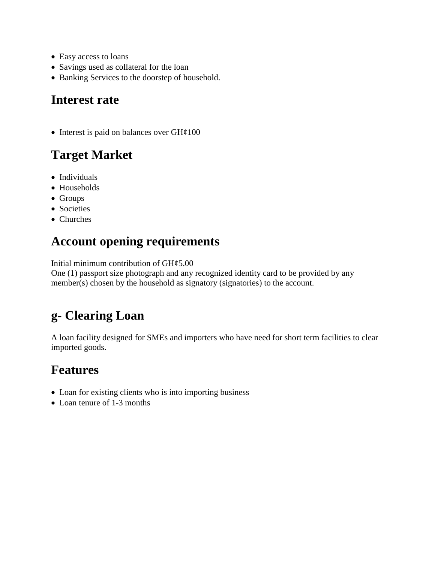- Easy access to loans
- Savings used as collateral for the loan
- Banking Services to the doorstep of household.

#### **Interest rate**

• Interest is paid on balances over  $GH\varphi100$ 

# **Target Market**

- Individuals
- Households
- Groups
- Societies
- Churches

## **Account opening requirements**

Initial minimum contribution of GH¢5.00

One (1) passport size photograph and any recognized identity card to be provided by any member(s) chosen by the household as signatory (signatories) to the account.

# **g- Clearing Loan**

A loan facility designed for SMEs and importers who have need for short term facilities to clear imported goods.

#### **Features**

- Loan for existing clients who is into importing business
- Loan tenure of 1-3 months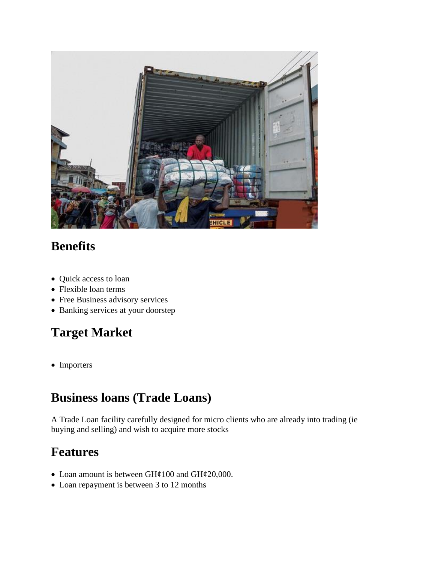

# **Benefits**

- Quick access to loan
- Flexible loan terms
- Free Business advisory services
- Banking services at your doorstep

# **Target Market**

• Importers

# **Business loans (Trade Loans)**

A Trade Loan facility carefully designed for micro clients who are already into trading (ie buying and selling) and wish to acquire more stocks

### **Features**

- Loan amount is between GH¢100 and GH¢20,000.
- Loan repayment is between 3 to 12 months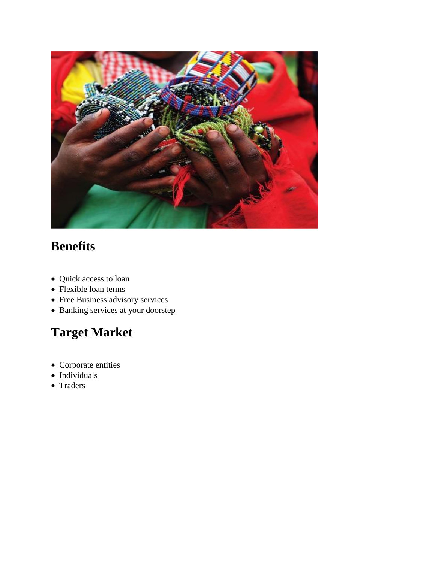

# **Benefits**

- Quick access to loan
- Flexible loan terms
- Free Business advisory services
- Banking services at your doorstep

# **Target Market**

- Corporate entities
- $\bullet$  Individuals
- Traders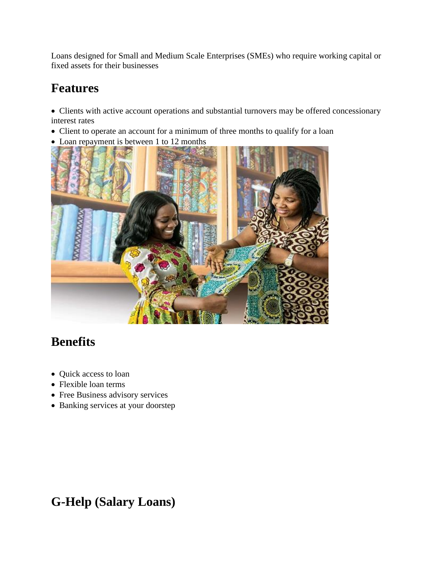Loans designed for Small and Medium Scale Enterprises (SMEs) who require working capital or fixed assets for their businesses

# **Features**

 Clients with active account operations and substantial turnovers may be offered concessionary interest rates

- Client to operate an account for a minimum of three months to qualify for a loan
- Loan repayment is between 1 to 12 months



# **Benefits**

- Quick access to loan
- Flexible loan terms
- Free Business advisory services
- Banking services at your doorstep

# **G-Help (Salary Loans)**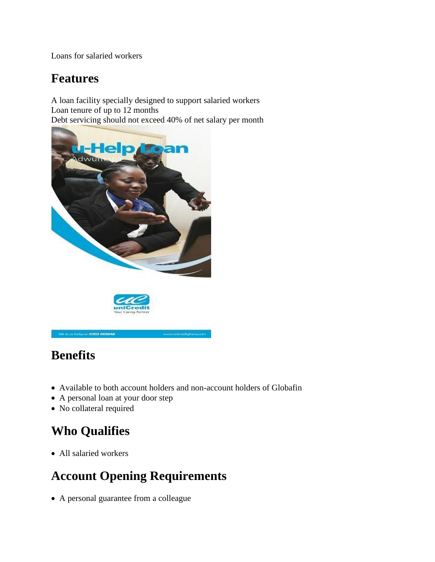Loans for salaried workers

### **Features**

A loan facility specially designed to support salaried workers Loan tenure of up to 12 months Debt servicing should not exceed 40% of net salary per month



#### Title to us today on 0302 665646

# **Benefits**

Available to both account holders and non-account holders of Globafin

www.urverstrighuna.com

- A personal loan at your door step
- No collateral required

# **Who Qualifies**

All salaried workers

# **Account Opening Requirements**

A personal guarantee from a colleague